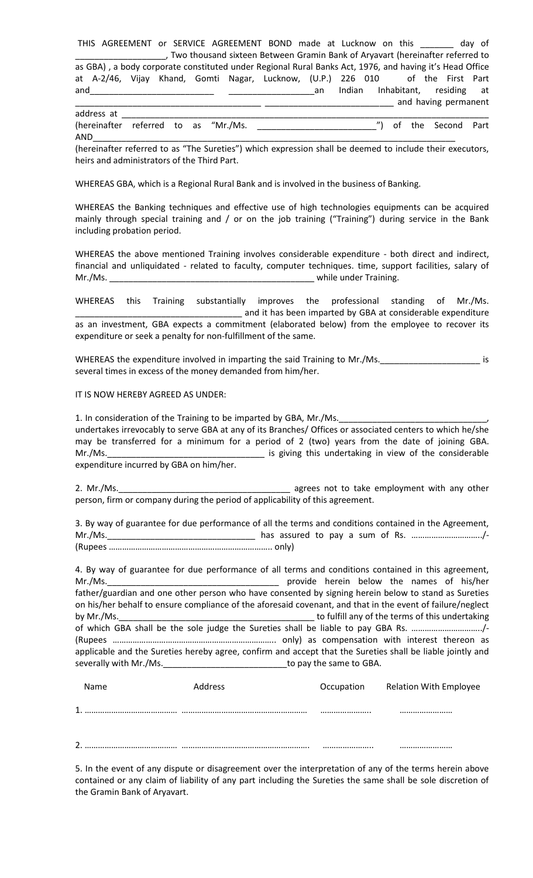THIS AGREEMENT or SERVICE AGREEMENT BOND made at Lucknow on this \_\_\_\_\_\_\_ day of \_\_\_\_\_\_\_\_\_\_\_\_\_\_\_\_\_\_\_, Two thousand sixteen Between Gramin Bank of Aryavart (hereinafter referred to as GBA) , a body corporate constituted under Regional Rural Banks Act, 1976, and having it's Head Office at A-2/46, Vijay Khand, Gomti Nagar, Lucknow, (U.P.) 226 010 of the First Part and\_\_\_\_\_\_\_\_\_\_\_\_\_\_\_\_\_\_\_\_\_\_\_\_\_\_ \_\_\_\_\_\_\_\_\_\_\_\_\_\_\_\_\_\_an Indian Inhabitant, residing at \_\_\_\_\_\_\_\_\_\_\_\_\_\_\_\_\_\_\_\_\_\_\_\_\_\_\_\_\_\_\_\_\_\_\_\_\_\_\_ \_\_\_\_\_\_\_\_\_\_\_\_\_\_\_\_\_\_\_\_\_\_\_\_\_\_\_ and having permanent

address at \_\_\_\_\_\_\_\_\_\_\_\_\_\_\_\_\_\_\_\_\_\_\_\_\_\_\_\_\_\_\_\_\_\_\_\_\_\_\_\_\_\_\_\_\_\_\_\_\_\_\_\_\_\_\_\_\_\_\_\_\_\_\_\_\_\_\_\_\_\_\_\_\_\_\_\_\_ (hereinafter referred to as "Mr./Ms. \_\_\_\_\_\_\_\_\_\_\_\_\_\_\_\_\_\_\_\_\_\_\_\_\_") of the Second Part AND\_\_\_\_\_\_\_\_\_\_\_\_\_\_\_\_\_\_\_\_\_\_\_\_\_\_\_\_\_\_\_\_\_\_\_\_\_\_\_\_\_\_\_\_\_\_\_\_\_\_\_\_\_\_\_\_\_\_\_\_\_\_\_\_\_\_\_\_\_\_\_\_\_\_\_\_

(hereinafter referred to as "The Sureties") which expression shall be deemed to include their executors, heirs and administrators of the Third Part.

WHEREAS GBA, which is a Regional Rural Bank and is involved in the business of Banking.

WHEREAS the Banking techniques and effective use of high technologies equipments can be acquired mainly through special training and / or on the job training ("Training") during service in the Bank including probation period.

WHEREAS the above mentioned Training involves considerable expenditure - both direct and indirect, financial and unliquidated - related to faculty, computer techniques. time, support facilities, salary of Mr./Ms. \_\_\_\_\_\_\_\_\_\_\_\_\_\_\_\_\_\_\_\_\_\_\_\_\_\_\_\_\_\_\_\_\_\_\_\_\_\_\_\_\_\_\_ while under Training.

WHEREAS this Training substantially improves the professional standing of Mr./Ms. \_ and it has been imparted by GBA at considerable expenditure as an investment, GBA expects a commitment (elaborated below) from the employee to recover its expenditure or seek a penalty for non-fulfillment of the same.

WHEREAS the expenditure involved in imparting the said Training to Mr./Ms. several times in excess of the money demanded from him/her.

IT IS NOW HEREBY AGREED AS UNDER:

1. In consideration of the Training to be imparted by GBA, Mr./Ms. undertakes irrevocably to serve GBA at any of its Branches/ Offices or associated centers to which he/she may be transferred for a minimum for a period of 2 (two) years from the date of joining GBA. Mr./Ms. expenditure incurred by GBA on him/her.

2. Mr./Ms. **2. Mr./Ms.** 2. Mr./Ms. person, firm or company during the period of applicability of this agreement.

3. By way of guarantee for due performance of all the terms and conditions contained in the Agreement, Mr./Ms.\_\_\_\_\_\_\_\_\_\_\_\_\_\_\_\_\_\_\_\_\_\_\_\_\_\_\_\_\_\_\_ has assured to pay a sum of Rs. …………………………../- (Rupees ……………………………………………………………….. only)

4. By way of guarantee for due performance of all terms and conditions contained in this agreement, Mr./Ms.\_\_\_\_\_\_\_\_\_\_\_\_\_\_\_\_\_\_\_\_\_\_\_\_\_\_\_\_\_\_\_\_\_\_\_\_ provide herein below the names of his/her father/guardian and one other person who have consented by signing herein below to stand as Sureties on his/her behalf to ensure compliance of the aforesaid covenant, and that in the event of failure/neglect by Mr./Ms.\_\_\_\_\_\_\_\_\_\_\_\_\_\_\_\_\_\_\_\_\_\_\_\_\_\_\_\_\_\_\_\_\_\_\_\_\_\_\_\_\_ to fulfill any of the terms of this undertaking of which GBA shall be the sole judge the Sureties shall be liable to pay GBA Rs. …………………………../- (Rupees ……………………………………………………………….. only) as compensation with interest thereon as applicable and the Sureties hereby agree, confirm and accept that the Sureties shall be liable jointly and severally with Mr./Ms.

|   | <b>Name</b> | Address | Occupation | <b>Relation With Employee</b> |
|---|-------------|---------|------------|-------------------------------|
| 1 |             |         |            |                               |
|   |             |         |            |                               |

5. In the event of any dispute or disagreement over the interpretation of any of the terms herein above contained or any claim of liability of any part including the Sureties the same shall be sole discretion of the Gramin Bank of Aryavart.